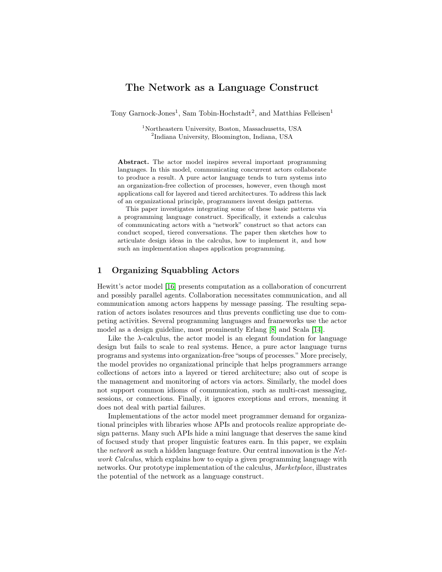# The Network as a Language Construct

Tony Garnock-Jones<sup>1</sup>, Sam Tobin-Hochstadt<sup>2</sup>, and Matthias Felleisen<sup>1</sup>

<sup>1</sup>Northeastern University, Boston, Massachusetts, USA 2 Indiana University, Bloomington, Indiana, USA

Abstract. The actor model inspires several important programming languages. In this model, communicating concurrent actors collaborate to produce a result. A pure actor language tends to turn systems into an organization-free collection of processes, however, even though most applications call for layered and tiered architectures. To address this lack of an organizational principle, programmers invent design patterns.

This paper investigates integrating some of these basic patterns via a programming language construct. Specifically, it extends a calculus of communicating actors with a "network" construct so that actors can conduct scoped, tiered conversations. The paper then sketches how to articulate design ideas in the calculus, how to implement it, and how such an implementation shapes application programming.

## 1 Organizing Squabbling Actors

Hewitt's actor model [16] presents [co](#page-18-0)mputation [as](#page-18-1) a collaboration of concurrent and possibly parallel agents. Collaboration necessitates communication, and all communication among actors happens by message passing. The resulting separation of actors isolates resources and thus prevents conflicting use due to competing activities. Several programming languages and frameworks use the actor model as a design guideline, most prominently Erlang [8] and Scala [14].

Like the  $\lambda$ -calculus, the actor model is an elegant foundation for language design but fails to scale to real systems. Hence, a pure actor language turns programs and systems into organization-free "soups of processes." More precisely, the model provides no organizational principle that helps programmers arrange collections of actors into a layered or tiered architecture; also out of scope is the management and monitoring of actors via actors. Similarly, the model does not support common idioms of communication, such as multi-cast messaging, sessions, or connections. Finally, it ignores exceptions and errors, meaning it does not deal with partial failures.

Implementations of the actor model meet programmer demand for organizational principles with libraries whose APIs and protocols realize appropriate design patterns. Many such APIs hide a mini language that deserves the same kind of focused study that proper linguistic features earn. In this paper, we explain the network as such a hidden language feature. Our central innovation is the Network Calculus, which explains how to equip a given programming language with networks. Our prototype implementation of the calculus, Marketplace, illustrates the potential of the network as a language construct.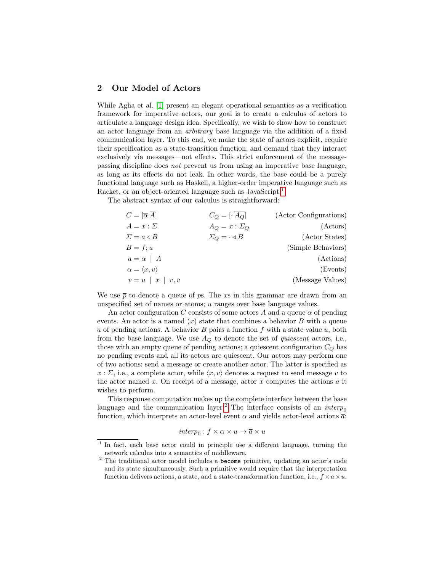# 2 Our Model of Actors

While Agha et al. [1] present an elegant operational semantics as a verification framework for imperative actors, our goal is to create a calculus of actors to articulate a language design idea. Specifically, we wish to show how to construct an actor language from an arbitrary base language via the addition of a fixed communication layer. To this end, we make the state of actors explicit, require their specification as a state-transitio[n](#page-1-0) function, and demand that they interact exclusively via messages—not effects. This strict enforcement of the messagepassing discipline does not prevent us from using an imperative base language, as long as its effects do not leak. In other words, the base could be a purely functional language such as Haskell, a higher-order imperative language such as Racket, or an object-oriented language such as JavaScript.<sup>1</sup>

The abstract syntax of our calculus is straightforward:

| $C=[\overline{\alpha}\ \overline{A}]$   | $C_O = [A_O]$                      | (Actor Configurations) |
|-----------------------------------------|------------------------------------|------------------------|
| $A=x:\Sigma$                            | $A_O = x : \Sigma_O$               | (Actors)               |
| $\Sigma = \overline{a} \triangleleft B$ | $\Sigma_Q = \cdot \triangleleft B$ | (Actor States)         |
| $B = f; u$                              |                                    | (Simple Behaviors)     |
| $a = \alpha \mid A$                     |                                    | (Actions)              |
| $\alpha = \langle x, v \rangle$         |                                    | (Events)               |
| $v = u \mid x \mid v, v$                |                                    | (Message Values)       |

We use  $\bar{p}$  to denote a queue of ps. The xs in this grammar are drawn from an unspecified set of names or atoms;  $u$  ranges over base language values.

An actor configuration C consists of some actors A and a queue  $\overline{\alpha}$  of pending events. An actor is a named  $(x)$  state that combines a behavior B with a queue  $\overline{a}$  of pending actions. A behavior B pairs a function f with a state value u, both from the base language. We use  $A<sub>O</sub>$  to denote the set of *quiescent* actors, i.e., those with an empty queue of pending actions; a quiescent configuration  $C_Q$  has no pending events and all its actors are quiescent. Our actors may perform one of two actions: sen[d a](#page-1-1) message or create another actor. The latter is specified as  $x : \Sigma$ , i.e., a complete actor, while  $\langle x, v \rangle$  denotes a request to send message v to the actor named x. On receipt of a message, actor x computes the actions  $\bar{a}$  it wishes to perform.

<span id="page-1-1"></span><span id="page-1-0"></span>This response computation makes up the complete interface between the base language and the communication layer.<sup>2</sup> The interface consists of an  $interp_0$ function, which interprets an actor-level event  $\alpha$  and yields actor-level actions  $\overline{a}$ :

$$
\mathit{interp}_0 : f \times \alpha \times u \to \overline{a} \times u
$$

<sup>&</sup>lt;sup>1</sup> In fact, each base actor could in principle use a different language, turning the network calculus into a semantics of middleware.

<sup>2</sup> The traditional actor model includes a become primitive, updating an actor's code and its state simultaneously. Such a primitive would require that the interpretation function delivers actions, a state, and a state-transformation function, i.e.,  $f \times \overline{a} \times u$ .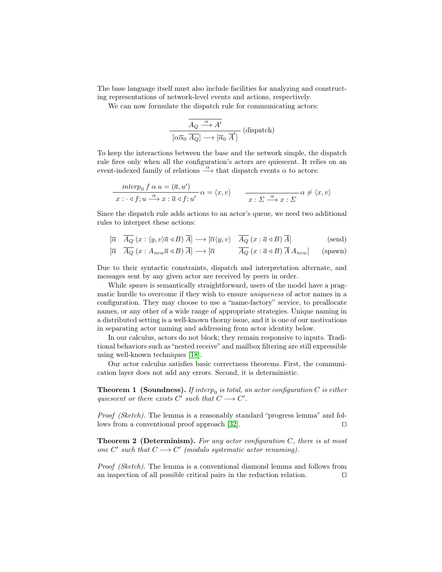The base language itself must also include facilities for analyzing and constructing representations of network-level events and actions, respectively.

We can now formulate the dispatch rule for communicating actors:

$$
\frac{\overline{A_Q \stackrel{\alpha}{\longrightarrow} A'}}{[\alpha \overline{\alpha}_0 \overline{A_Q}] \longrightarrow [\overline{\alpha}_0 \overline{A'}]} \text{ (dispatch)}
$$

To keep the interactions between the base and the network simple, the dispatch rule fires only when all the configuration's actors are quiescent. It relies on an event-indexed family of relations  $\stackrel{\alpha}{\longrightarrow}$  that dispatch events  $\alpha$  to actors:

$$
\frac{interp_0 f \alpha u = (\overline{a}, u')}{x : \neg f; u \stackrel{\alpha}{\longrightarrow} x : \overline{a} \triangleleft f; u'} \alpha = \langle x, v \rangle \qquad \qquad \overline{x : \Sigma \stackrel{\alpha}{\longrightarrow} x : \Sigma} \alpha \neq \langle x, v \rangle
$$

Since the dispatch rule adds actions to an actor's queue, we need two additional rules to interpret these actions:

$$
[\overline{\alpha} \quad \overline{A_Q} \ (x : \langle y, v \rangle \overline{a} \triangleleft B) \ \overline{A}] \longrightarrow [\overline{\alpha} \langle y, v \rangle \quad \overline{A_Q} \ (x : \overline{a} \triangleleft B) \ \overline{A}] \tag{send}
$$

$$
[\overline{\alpha} \quad \overline{A_Q} \ (x : A_{new}\overline{a} \triangleleft B) \ \overline{A}] \longrightarrow [\overline{\alpha} \qquad \overline{A_Q} \ (x : \overline{a} \triangleleft B) \ \overline{A} \ A_{new}] \qquad \text{(spam)}
$$

Due to their syntactic constraints, dispatch and interpretation alternate, and messages sent by any given actor are received by peers in order.

While *spawn* is semantically straightforward, users of the model have a pragmatic hurdle to overcome if they wish to ensure uniqueness of actor names in a configuration. They may choose to use a "name-factory" service, to preallocate names, [or a](#page-19-0)ny other of a wide range of appropriate strategies. Unique naming in a distributed setting is a well-known thorny issue, and it is one of our motivations in separating actor naming and addressing from actor identity below.

In our calculus, actors do not block; they remain responsive to inputs. Traditional behaviors such as "nested receive" and mailbox filtering are still expressible using well-known techniques [18].

Our actor calculus satisfies basic correctness theorems. First, the communication layer does no[t ad](#page-19-1)d any errors. Second, it is deterministic.

**Theorem 1 (Soundness).** If interp<sub>0</sub> is total, an actor configuration C is either quiescent or there exists  $C'$  such that  $C \longrightarrow C'$ .

Proof (Sketch). The lemma is a reasonably standard "progress lemma" and follows from a conventional proof approach [32].  $\Box$ 

**Theorem 2 (Determinism).** For any actor configuration  $C$ , there is at most one C' such that  $C \longrightarrow C'$  (modulo systematic actor renaming).

Proof (Sketch). The lemma is a conventional diamond lemma and follows from an inspection of all possible critical pairs in the reduction relation.  $\Box$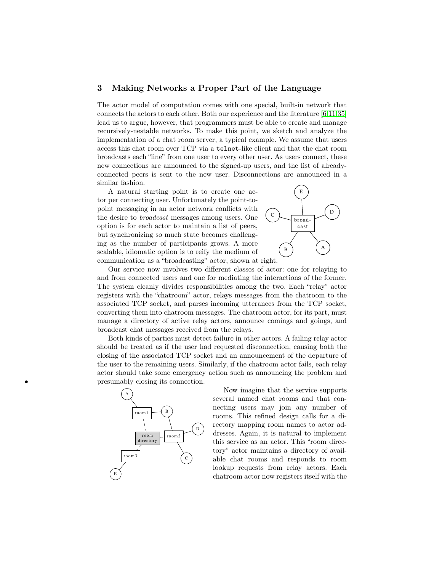### <span id="page-3-0"></span>3 Making Networks a Proper Part of the Language

The actor model of computation comes with one special, built-in network that connects the actors to each other. Both our experience and the literature [6,11,35] lead us to argue, however, that programmers must be able to create and manage recursively-nestable networks. To make this point, we sketch and analyze the implementation of a chat room server, a typical example. We assume that users access this chat room over TCP via a telnet-like client and that the chat room broadcasts each "line" from one user to every other user. As users connect, these new connections are announced to the signed-up users, and the list of alreadyconnected peers is sent to the new user. Disconnections are announced in a similar fashion.

A natural starting point is to create one actor per connecting user. Unfortunately the point-topoint messaging in an actor network conflicts with the desire to broadcast messages among users. One option is for each actor to maintain a list of peers, but synchronizing so much state becomes challenging as the number of participants grows. A more scalable, idiomatic option is to reify the medium of communication as a "broadcasting" actor, shown at right.



Our service now involves two different classes of actor: one for relaying to and from connected users and one for mediating the interactions of the former. The system cleanly divides responsibilities among the two. Each "relay" actor registers with the "chatroom" actor, relays messages from the chatroom to the associated TCP socket, and parses incoming utterances from the TCP socket, converting them into chatroom messages. The chatroom actor, for its part, must manage a directory of active relay actors, announce comings and goings, and broadcast chat messages received from the relays.

Both kinds of parties must detect failure in other actors. A failing relay actor should be treated as if the user had requested disconnection, causing both the closing of the associated TCP socket and an announcement of the departure of the user to the remaining users. Similarly, if the chatroom actor fails, each relay actor should take some emergency action such as announcing the problem and • presumably closing its connection.



Now imagine that the service supports several named chat rooms and that connecting users may join any number of rooms. This refined design calls for a directory mapping room names to actor addresses. Again, it is natural to implement this service as an actor. This "room directory" actor maintains a directory of available chat rooms and responds to room lookup requests from relay actors. Each chatroom actor now registers itself with the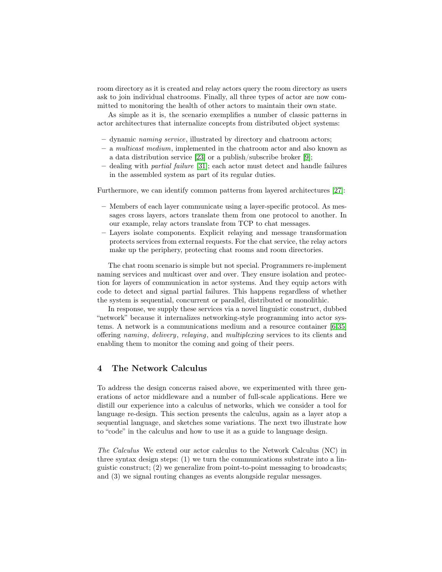room directory as it is created and relay actors query the room directory as users ask to join individual chatrooms. Finally, all three types of actor are now committed to monitoring the health of other actors to maintain their own state.

As si[mple](#page-19-2) as it is, the scenario exempli[fies](#page-18-2) a number of classic patterns in actor archi[tec](#page-19-3)tures that internalize concepts from distributed object systems:

- dynamic naming service, illustrated by directory and chatroom actors;
- a multicast medium, implemented in the chatroo[m ac](#page-19-4)tor and also known as a data distribution service [23] or a publish/subscribe broker [9];
- dealing with partial failure [31]; each actor must detect and handle failures in the assembled system as part of its regular duties.

Furthermore, we can identify common patterns from layered architectures [27]:

- Members of each layer communicate using a layer-specific protocol. As messages cross layers, actors translate them from one protocol to another. In our example, relay actors translate from TCP to chat messages.
- Layers isolate components. Explicit relaying and message transformation protects services from external requests. For the chat service, the relay actors make up the periphery, protecting chat rooms and room directories.

The chat room scenario is simple but not special. Programmers re-implement naming services and multicast over and over. They ensure isolation and protection for layers of communication in actor systems. A[n](#page-18-3)[d th](#page-19-5)ey equip actors with code to detect and signal partial failures. This happens regardless of whether the system is sequential, concurrent or parallel, distributed or monolithic.

<span id="page-4-0"></span>In response, we supply these services via a novel linguistic construct, dubbed "network" because it internalizes networking-style programming into actor systems. A network is a communications medium and a resource container [6,35] offering naming, delivery, relaying, and multiplexing services to its clients and enabling them to monitor the coming and going of their peers.

### 4 The Network Calculus

To address the design concerns raised above, we experimented with three generations of actor middleware and a number of full-scale applications. Here we distill our experience into a calculus of networks, which we consider a tool for language re-design. This section presents the calculus, again as a layer atop a sequential language, and sketches some variations. The next two illustrate how to "code" in the calculus and how to use it as a guide to language design.

The Calculus We extend our actor calculus to the Network Calculus (NC) in three syntax design steps: (1) we turn the communications substrate into a linguistic construct; (2) we generalize from point-to-point messaging to broadcasts; and (3) we signal routing changes as events alongside regular messages.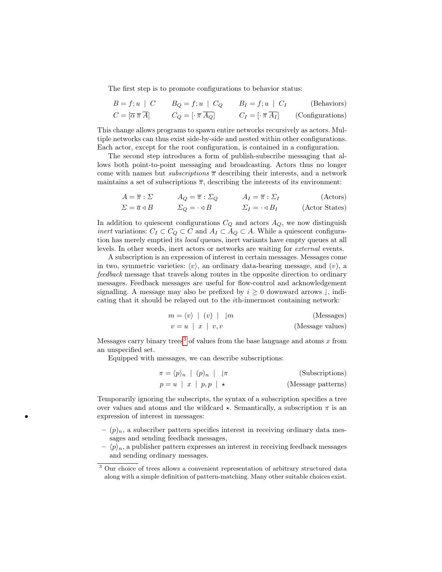The first step is to promote configurations to behavior status:

$$
B = f; u \mid C \qquad B_Q = f; u \mid C_Q \qquad B_I = f; u \mid C_I \qquad \text{(Behaviors)}
$$
  

$$
C = [\overline{\alpha} \,\overline{\pi} \,\overline{A}] \qquad C_Q = [\cdot \,\overline{\pi} \,\overline{A_Q}] \qquad C_I = [\cdot \,\overline{\pi} \,\overline{A_I}] \qquad \text{(Configurations)}
$$

This change allows programs to spawn entire networks recursively as actors. Multiple networks can thus exist side-by-side and nested within other configurations. Each actor, except for the root configuration, is contained in a configuration.

The second step introduces a form of publish-subscribe messaging that allows both point-to-point messaging and broadcasting. Actors thus no longer come with names but *subscriptions*  $\bar{\pi}$  describing their interests, and a network maintains a set of subscriptions  $\bar{\pi}$ , describing the interests of its environment:

$$
A = \overline{\pi} : \Sigma \qquad A_Q = \overline{\pi} : \Sigma_Q \qquad A_I = \overline{\pi} : \Sigma_I \qquad \text{(Actors)}
$$

$$
\Sigma = \overline{a} \triangleleft B \qquad \qquad \Sigma_Q = \cdot \triangleleft B \qquad \qquad \Sigma_I = \cdot \triangleleft B_I \qquad \qquad \text{(Actor States)}
$$

In addition to quiescent configurations  $C_Q$  and actors  $A_Q$ , we now distinguish inert variations:  $C_I \subset C_Q \subset C$  and  $A_I \subset A_Q \subset A$ . While a quiescent configuration has merely emptied its local queues, inert variants have empty queues at all levels. In other words, inert actors or networks are waiting for external events.

A subscription is an expression of interest in certain messages. Messages come in two, symmetric varieties:  $\langle v \rangle$ , an ordinary data-bearing message, and  $(v)$ , a feedback message that travels along routes in the opposite direction to ordinary messages. Feedback messages are useful for flow-control and acknowledgement signal[lin](#page-5-0)g. A message may also be prefixed by  $i \geq 0$  downward arrows , indicating that it should be relayed out to the ith-innermost containing network:

$$
m = \langle v \rangle \mid (v) \mid \exists m
$$
 (Messages)  

$$
v = u \mid x \mid v, v
$$
 (Message values)

Messages carry binary trees<sup>3</sup> of values from the base language and atoms  $x$  from an unspecified set.

Equipped with messages, we can describe subscriptions:

$$
\pi = \langle p \rangle_n \mid (p)_n \mid \downarrow \pi
$$
 (Subscripts)  
\n
$$
p = u \mid x \mid p, p \mid \star
$$
 (Massage patterns)

<span id="page-5-0"></span>Temporarily ignoring the subscripts, the syntax of a subscription specifies a tree over values and atoms and the wildcard  $\star$ . Semantically, a subscription  $\pi$  is an expression of interest in messages:

- $-(p)_n$ , a subscriber pattern specifies interest in receiving ordinary data messages and sending feedback messages,
- $-\langle p \rangle_n$ , a publisher pattern expresses an interest in receiving feedback messages and sending ordinary messages.

<sup>&</sup>lt;sup>3</sup> Our choice of trees allows a convenient representation of arbitrary structured data along with a simple definition of pattern-matching. Many other suitable choices exist.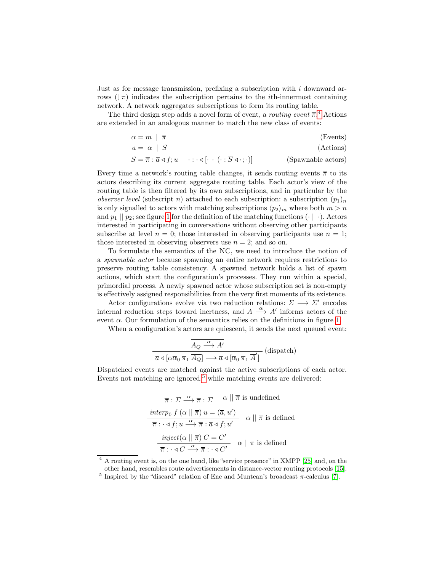Just as for message transmission, prefixing a subscription with  $i$  downward arrows  $(\bar{x})$  indicates the subscription pertains to the *i*th-innermost containing network. A network aggregates subscriptions to form its routing table.

The third design step adds a novel form of event, a *routing event*  $\bar{\pi}$ <sup>4</sup> Actions are extended in an analogous manner to match the new class of events:

$$
\alpha = m \mid \overline{\pi}
$$
 (Events)  
\n
$$
a = \alpha \mid S
$$
 (Actually)

$$
S = \overline{\pi} : \overline{a} \triangleleft f; u \mid \cdots \triangleleft [\cdots (\cdots \overline{S} \triangleleft \cdots )] \qquad \qquad \text{(Spawnable actors)}
$$

[Ev](#page-7-0)ery time a network's routing table changes, it sends routing events  $\bar{\pi}$  to its actors describing its current aggregate routing table. Each actor's view of the routing table is then filtered by its own subscriptions, and in particular by the observer level (subscript n) attached to each subscription: a subscription  $(p_1)_n$ is only signalled to actors with matching subscriptions  $\langle p_2 \rangle_m$  where both  $m > n$ and  $p_1 \parallel p_2$ ; see figure 1 for the definition of the matching functions  $(\cdot \parallel \cdot)$ . Actors interested in participating in conversations without observing other participants subscribe at level  $n = 0$ ; those interested in observing participants use  $n = 1$ ; those interested in observing observers use  $n = 2$ ; and so on.

To formulate the semantics of the NC, we need to introduce the notion of a spawnable actor because spawning an entire network requires restrictions to preserve routing table consistency. A spawned network holds a list of spawn actions, which start the configuration's processes. T[hey](#page-7-0) run within a special, primordial process. A newly spawned actor whose subscription set is non-empty is effectively assigned responsibilities from the very first moments of its existence.

Actor configurations evolve via two reduction relations:  $\Sigma \longrightarrow \Sigma'$  encodes internal reduction steps toward inertness, and  $A \stackrel{\alpha}{\longrightarrow} A'$  informs actors of the event  $\alpha$ . Our formulation of the semantics relies on the definitions in figure 1.

When a [co](#page-6-0)nfiguration's actors are quiescent, it sends the next queued event:

$$
\frac{\overline{A_Q \stackrel{\alpha}{\longrightarrow} A'}}{\overline{a} \triangleleft [\alpha \overline{\alpha}_0 \overline{\pi}_1 \overline{A_Q} \right] \longrightarrow \overline{a} \triangleleft [\overline{\alpha}_0 \overline{\pi}_1 \overline{A'}]} \text{ (dispatch)}
$$

Dispatched events are matched against the active subscriptions of each actor. Events not matching are ignored,<sup>5</sup> while matching events are delivered:

$$
\overline{\pi} : \Sigma \xrightarrow{\alpha} \overline{\pi} : \Sigma \quad \alpha \mid \mid \overline{\pi} \text{ is undefined}
$$
\n
$$
\frac{\text{interp}_0 f(\alpha \mid \mid \overline{\pi}) u = (\overline{a}, u')}{\overline{\pi} : \neg f; u \xrightarrow{\alpha} \overline{\pi} : \overline{a} \triangleleft f; u'} \quad \alpha \mid \mid \overline{\pi} \text{ is defined}
$$
\n
$$
\frac{\text{inject}(\alpha \mid \mid \overline{\pi}) C = C'}{\overline{\pi} : \neg G \xrightarrow{\alpha} \overline{\pi} : \neg G C'} \quad \alpha \mid \mid \overline{\pi} \text{ is defined}
$$

<span id="page-6-0"></span><sup>4</sup> A routing event is, on the one hand, like "service presence" in XMPP [25] and, on the other hand, resembles route advertisements in distance-vector routing protocols [15].

<sup>&</sup>lt;sup>5</sup> Inspired by the "discard" relation of Ene and Muntean's broadcast  $\pi$ -calculus [7].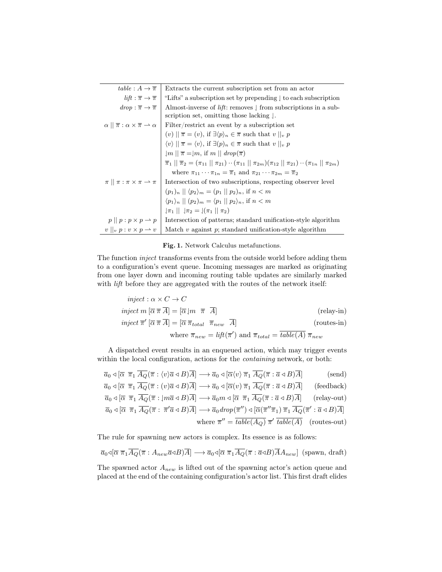| table : $A \rightarrow \overline{\pi}$                                | Extracts the current subscription set from an actor                                                                                                    |
|-----------------------------------------------------------------------|--------------------------------------------------------------------------------------------------------------------------------------------------------|
| $lift : \overline{\pi} \rightarrow \overline{\pi}$                    | "Lifts" a subscription set by prepending to each subscription"                                                                                         |
| $drop : \overline{\pi} \rightarrow \overline{\pi}$                    | Almost-inverse of $lift:$ removes $\downarrow$ from subscriptions in a sub-<br>scription set, omitting those lacking $\vert$ .                         |
| $\alpha$ $\ \overline{\pi} : \alpha \times \overline{\pi} \to \alpha$ | Filter/restrict an event by a subscription set                                                                                                         |
|                                                                       | (v) $\ \bar{\pi} = (v), \text{ if } \exists \langle p \rangle_n \in \bar{\pi} \text{ such that } v \ _v p$                                             |
|                                                                       | $\langle v \rangle \parallel \overline{\pi} = \langle v \rangle$ , if $\exists (p)_n \in \overline{\pi}$ such that $v \parallel_v p$                   |
|                                                                       | $ m \mid \pi =  m $ , if $m \mid   \text{ drop}(\overline{\pi})$                                                                                       |
|                                                                       | $\overline{\pi}_{1}    \overline{\pi}_{2} = (\pi_{11}    \pi_{21}) \cdots (\pi_{11}    \pi_{2m}) (\pi_{12}    \pi_{21}) \cdots (\pi_{1n}    \pi_{2m})$ |
|                                                                       | where $\pi_{11} \cdots \pi_{1n} = \overline{\pi}_1$ and $\pi_{21} \cdots \pi_{2m} = \overline{\pi}_2$                                                  |
| $\pi$   $\pi$ : $\pi \times \pi \rightarrow \pi$                      | Intersection of two subscriptions, respecting observer level                                                                                           |
|                                                                       | $(p_1)_n \,    \, (p_2)_m = (p_1 \,    \, p_2)_n, \text{ if } n < m$                                                                                   |
|                                                                       | $\langle p_1 \rangle_n    (p_2)_m = \langle p_1    p_2 \rangle_n$ , if $n < m$                                                                         |
|                                                                       | $ \pi_1   \pi_2  =  (\pi_1   \pi_2 )$                                                                                                                  |
| $p \mid p : p \times p \rightarrow p$                                 | Intersection of patterns; standard unification-style algorithm                                                                                         |
| $v  _v p: v \times p \longrightarrow v$                               | Match $v$ against $p$ ; standard unification-style algorithm                                                                                           |

<span id="page-7-0"></span>Fig. 1. Network Calculus metafunctions.

The function inject transforms events from the outside world before adding them to a configuration's event queue. Incoming messages are marked as originating from one layer down and incoming routing table updates are similarly marked with *lift* before they are aggregated with the routes of the network itself:

$$
inject: \alpha \times C \to C
$$
  
inject  $m [\overline{\alpha} \overline{\pi} \overline{A}] = [\overline{\alpha}] m \overline{\pi} \overline{A}]$  (relay-in)  
inject  $\overline{\pi}' [\overline{\alpha} \overline{\pi} \overline{A}] = [\overline{\alpha} \overline{\pi}_{total} \overline{\pi}_{new} \overline{A}]$  (routers-in)  
where  $\overline{\pi}_{new} = lift(\overline{\pi}')$  and  $\overline{\pi}_{total} = \overline{table(A)} \overline{\pi}_{new}$ 

A dispatched event results in an enqueued action, which may trigger events within the local configuration, actions for the containing network, or both:

$$
\overline{a}_0 \triangleleft [\overline{\alpha} \ \overline{\pi}_1 \ \overline{A_Q}(\overline{\pi} : \langle v \rangle \overline{a} \triangleleft B) \overline{A}] \longrightarrow \overline{a}_0 \triangleleft [\overline{\alpha} \langle v \rangle \ \overline{\pi}_1 \ \overline{A_Q}(\overline{\pi} : \overline{a} \triangleleft B) \overline{A}] \tag{send}
$$

 $\overline{a}_0 \triangleleft [\overline{\alpha} \ \overline{\pi}_1 \ \overline{A_Q}(\overline{\pi} : (v) \overline{\alpha} \triangleleft B) \overline{A}] \longrightarrow \overline{a}_0 \triangleleft [\overline{\alpha} (v) \ \overline{\pi}_1 \ \overline{A_Q}(\overline{\pi} : \overline{\alpha} \triangleleft B) \overline{A}]$  (feedback)  $\overline{a}_0 \triangleleft [\overline{\alpha} \ \overline{\pi}_1 \ \overline{A_Q}(\overline{\pi} : |m\overline{a} \triangleleft B)\overline{A}] \longrightarrow \overline{a}_0 m \triangleleft [\overline{\alpha} \ \overline{\pi}_1 \ \overline{A_Q}(\overline{\pi} : \overline{a} \triangleleft B)\overline{A}]$  (relay-out)  $\overline{a}_0 \triangleleft [\overline{\alpha} \ \ \overline{\pi}_1 \ \overline{A_Q}(\overline{\pi} : \ \overline{\pi}' \overline{a} \triangleleft B) \overline{A}] \longrightarrow \overline{a}_0 \text{drop}(\overline{\pi}'') \triangleleft [\overline{\alpha}(\overline{\pi}''\overline{\pi}_1) \ \overline{\pi}_1 \ \overline{A_Q}(\overline{\pi}' : \overline{a} \triangleleft B) \overline{A}]$ where  $\overline{\pi}'' = \overline{table(A_Q)} \ \overline{\pi}' \ \overline{table(A)} \ \ (\text{routers-out})$ 

The rule for spawning new actors is complex. Its essence is as follows:

$$
\overline{a}_0 \triangleleft [\overline{\alpha} \ \overline{\pi}_1 \overline{A_Q}(\overline{\pi}: A_{new}\overline{a} \triangleleft B) \overline{A}] \longrightarrow \overline{a}_0 \triangleleft [\overline{\alpha} \ \overline{\pi}_1 \overline{A_Q}(\overline{\pi}: \overline{a} \triangleleft B) \overline{A} A_{new}] \ \text{(spam, draft)}
$$

The spawned actor  $A_{new}$  is lifted out of the spawning actor's action queue and placed at the end of the containing configuration's actor list. This first draft elides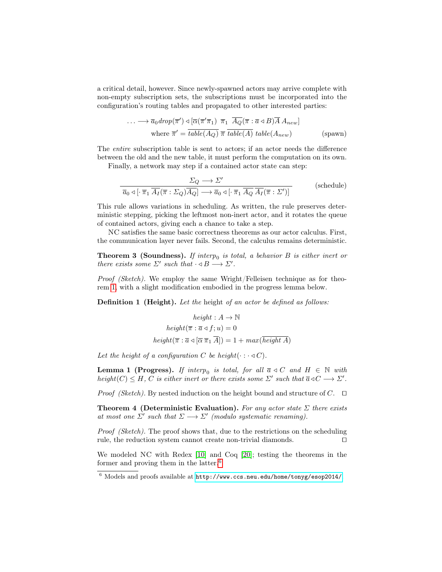a critical detail, however. Since newly-spawned actors may arrive complete with non-empty subscription sets, the subscriptions must be incorporated into the configuration's routing tables and propagated to other interested parties:

$$
\dots \longrightarrow \overline{a}_0 \, drop(\overline{\pi}') \triangleleft [\overline{\alpha}(\overline{\pi}' \overline{\pi}_1) \overline{\pi}_1 \overline{A_Q}(\overline{\pi} : \overline{a} \triangleleft B) \overline{A} \, A_{new}]
$$
\nwhere  $\overline{\pi}' = \overline{table(A_Q)} \, \overline{\pi} \, table(A)$  table $(A_{new})$  (spawn)

The entire subscription table is sent to actors; if an actor needs the difference between the old and the new table, it must perform the computation on its own.

Finally, a network may step if a contained actor state can step:

$$
\frac{\Sigma_Q \longrightarrow \Sigma'}{\overline{a}_0 \triangleleft [\cdot \overline{\pi}_1 \, \overline{A_I}(\overline{\pi} : \Sigma_Q) \overline{A_Q}] \longrightarrow \overline{a}_0 \triangleleft [\cdot \overline{\pi}_1 \, \overline{A_Q} \, \overline{A_I}(\overline{\pi} : \Sigma') ]}
$$
(schedule)

This rule allows variations in scheduling. As written, the rule preserves deterministic stepping, picking the leftmost non-inert actor, and it rotates the queue of contained actors, giving each a chance to take a step.

NC satisfies the same basic correctness theorems as our actor calculus. First, the communication layer never fails. Second, the calculus remains deterministic.

**Theorem 3 (Soundness).** If interp<sub>0</sub> is total, a behavior B is either inert or there exists some  $\Sigma'$  such that  $\cdot \triangleleft B \longrightarrow \Sigma'.$ 

*Proof (Sketch)*. We employ the same Wright/Felleisen technique as for theorem 1, with a slight modification embodied in the progress lemma below.

Definition 1 (Height). Let the height of an actor be defined as follows:

$$
height : A \rightarrow \mathbb{N}
$$

$$
height(\overline{\pi} : \overline{a} \triangleleft f; u) = 0
$$

$$
height(\overline{\pi} : \overline{a} \triangleleft [\overline{\alpha} \overline{\pi_1} \overline{A}]) = 1 + max(\overline{height A})
$$

Let the height of a configuration C be height $(\cdot : \neg \triangleleft C)$ .

**Lemma 1 (Progress).** If interp<sub>0</sub> is total, for all  $\overline{a} \triangleleft C$  and  $H \in \mathbb{N}$  with height(C)  $\leq$  H, C is either inert or there exists some  $\Sigma'$  such that  $\overline{a} \triangleleft C \longrightarrow \Sigma'$ .

*Proof (Sketch)*. By nested induction on the height bound and structure of  $C$ .  $\Box$ 

**Theorem [4](#page-18-5) (Determi[nist](#page-19-6)ic Evaluation).** For any actor state  $\Sigma$  there exists at most one  $\Sigma'$  s[uc](#page-8-0)h that  $\Sigma \longrightarrow \Sigma'$  (modulo systematic renaming).

<span id="page-8-0"></span>Proof (Sketch). [The proof shows that, due to the restrict](http://www.ccs.neu.edu/home/tonyg/esop2014/)ions on the scheduling rule, the reduction system cannot create non-trivial diamonds.  $\Box$ 

We modeled NC with Redex [10] and Coq [20]; testing the theorems in the former and proving them in the latter.<sup>6</sup>

 $\sqrt[6]{6}$  Models and proofs available at http://www.ccs.neu.edu/home/tonyg/esop2014/.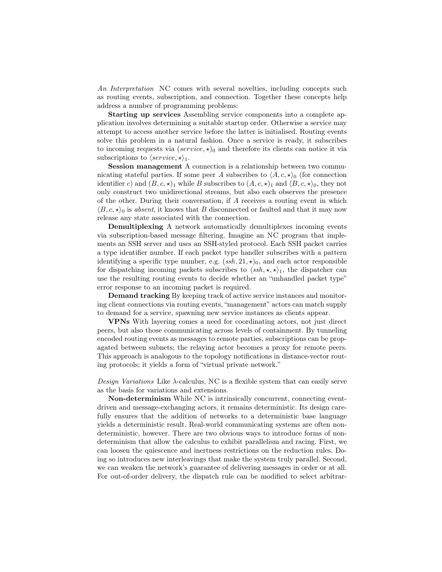An Interpretation NC comes with several novelties, including concepts such as routing events, subscription, and connection. Together these concepts help address a number of programming problems:

Starting up services Assembling service components into a complete application involves determining a suitable startup order. Otherwise a service may attempt to access another service before the latter is initialised. Routing events solve this problem in a natural fashion. Once a service is ready, it subscribes to incoming requests via  $(s$ ervice,  $\star)$ <sub>0</sub> and therefore its clients can notice it via subscriptions to  $\langle service, \star \rangle_1$ .

Session management A connection is a relationship between two communicating stateful parties. If some peer A subscribes to  $\langle A, c, \star \rangle_0$  (for connection identifier c) and  $(B, c, \star)$ <sub>1</sub> while B subscribes to  $(A, c, \star)$ <sub>1</sub> and  $\langle B, c, \star \rangle$ <sub>0</sub>, they not only construct two unidirectional streams, but also each observes the presence of the other. During their conversation, if A receives a routing event in which  $\langle B, c, \star \rangle$  is absent, it knows that B disconnected or faulted and that it may now release any state associated with the connection.

Demultiplexing A network automatically demultiplexes incoming events via subscription-based message filtering. Imagine an NC program that implements an SSH server and uses an SSH-styled protocol. Each SSH packet carries a type identifier number. If each packet type handler subscribes with a pattern identifying a specific type number, e.g.  $(ssh, 21, \star)_0$ , and each actor responsible for dispatching incoming packets subscribes to  $\langle ssh, \star, \star \rangle_1$ , the dispatcher can use the resulting routing events to decide whether an "unhandled packet type" error response to an incoming packet is required.

Demand tracking By keeping track of active service instances and monitoring client connections via routing events, "management" actors can match supply to demand for a service, spawning new service instances as clients appear.

VPNs With layering comes a need for coordinating actors, not just direct peers, but also those communicating across levels of containment. By tunneling encoded routing events as messages to remote parties, subscriptions can be propagated between subnets; the relaying actor becomes a proxy for remote peers. This approach is analogous to the topology notifications in distance-vector routing protocols; it yields a form of "virtual private network."

*Design Variations* Like  $\lambda$ -calculus, NC is a flexible system that can easily serve as the basis for variations and extensions.

Non-determinism While NC is intrinsically concurrent, connecting eventdriven and message-exchanging actors, it remains deterministic. Its design carefully ensures that the addition of networks to a deterministic base language yields a deterministic result. Real-world communicating systems are often nondeterministic, however. There are two obvious ways to introduce forms of nondeterminism that allow the calculus to exhibit parallelism and racing. First, we can loosen the quiescence and inertness restrictions on the reduction rules. Doing so introduces new interleavings that make the system truly parallel. Second, we can weaken the network's guarantee of delivering messages in order or at all. For out-of-order delivery, the dispatch rule can be modified to select arbitrar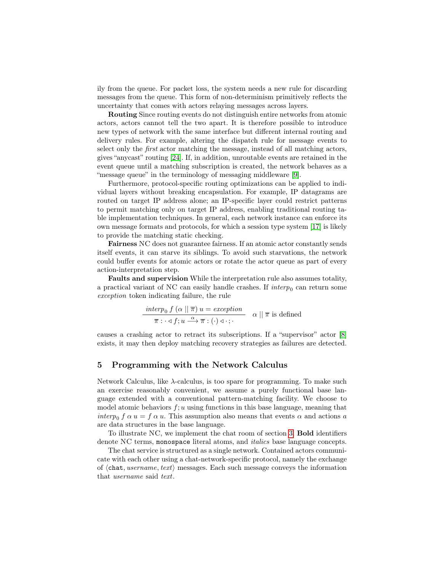ily from the queue. For packet loss, the system needs a new rule for discarding messages from the queue. This form of non-determinism primitively reflects the uncertainty that comes with actors relaying messages across layers.

[R](#page-19-7)outing Since routing events do not distinguish entire networks from atomic actors, actors cannot tell the two apart. It is therefore possible to introduce new types of network with the same inte[rfa](#page-18-2)ce but different internal routing and delivery rules. For example, altering the dispatch rule for message events to select only the first actor matching the message, instead of all matching actors, gives "anycast" routing [24]. If, in addition, unroutable events are retained in the event queue until a matching subscription is created, the network behaves as a "message queue" in the terminology of messaging middleware [9].

Furthermore, protocol-specific routing opti[miza](#page-19-8)tions can be applied to individual layers without breaking encapsulation. For example, IP datagrams are routed on target IP address alone; an IP-specific layer could restrict patterns to permit matching only on target IP address, enabling traditional routing table implementation techniques. In general, each network instance can enforce its own message formats and protocols, for which a session type system [17] is likely to provide the matching static checking.

Fairness NC does not guarantee fairness. If an atomic actor constantly sends itself events, it can starve its siblings. To avoid such starvations, the network could buffer events for atomic actors or rotate the actor queue as part of every action-interpretation step.

Faults and supervision While the interpretation rule also assumes totality, a practical varia[nt](#page-18-0) of NC can easily handle crashes. If  $\mathit{interp}_0$  can return some exception token indicating failure, the rule

$$
\frac{interp_0 f(\alpha \mid \mid \overline{\pi}) u = exception}{\overline{\pi} : \cdot \triangleleft f; u \stackrel{\alpha}{\longrightarrow} \overline{\pi} : (\cdot) \triangleleft \cdot ; \cdot} \quad \alpha \mid \mid \overline{\pi} \text{ is defined}
$$

causes a crashing actor to retract its subscriptions. If a "supervisor" actor [8] exists, it may then deploy matching recovery strategies as failures are detected.

### 5 Programming with the Network Calculus

Network Calculus, like  $\lambda$ -calculus, is too spare for programming. To make such an exercise reasonably convenient, we [a](#page-3-0)ssume a purely functional base language extended with a conventional pattern-matching facility. We choose to model atomic behaviors  $f; u$  using functions in this base language, meaning that interp<sub>0</sub> f  $\alpha u = f \alpha u$ . This assumption also means that events  $\alpha$  and actions a are data structures in the base language.

To illustrate NC, we implement the chat room of section 3. Bold identifiers denote NC terms, monospace literal atoms, and italics base language concepts.

The chat service is structured as a single network. Contained actors communicate with each other using a chat-network-specific protocol, namely the exchange of  $\langle \text{chat}, \text{username}, \text{text}\rangle$  messages. Each such message conveys the information that username said text.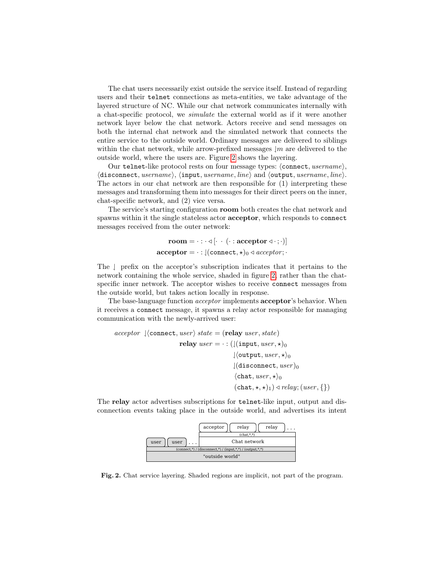The chat users necessarily exist outside the service itself. Instead of regarding users and their telnet connections as meta-entities, we take advantage of the layered structure of NC. While our chat network communicates internally with a chat-specific proto[col](#page-11-0), we simulate the external world as if it were another network layer below the chat network. Actors receive and send messages on both the internal chat network and the simulated network that connects the entire service to the outside world. Ordinary messages are delivered to siblings within the chat network, while arrow-prefixed messages  $|m$  are delivered to the outside world, where the users are. Figure 2 shows the layering.

Our telnet-like protocol rests on four message types:  $\langle \text{connect}, \text{username} \rangle$ ,  $\langle$  disconnect, username $\rangle$ ,  $\langle$  input, username, line $\rangle$  and  $\langle$  output, username, line $\rangle$ . The actors in our chat network are then responsible for (1) interpreting these messages and transforming them into messages for their direct peers on the inner, chat-specific network, and (2) vice versa.

The service's starting configuration room both creates the chat network and spawns within it the single stateless actor acceptor, which responds to connect messages received from the outer [ne](#page-11-0)twork:

> room =  $\cdot : \cdot \triangleleft [\cdot \cdot ( \cdot : \text{acceptor} \triangleleft \cdot ; \cdot )]$  $acceptor = \cdot : ((connect, \star)_0 \triangleleft acceptor; \cdot)$

The  $\perp$  prefix on the acceptor's subscription indicates that it pertains to the network containing the whole service, shaded in figure 2, rather than the chatspecific inner network. The acceptor wishes to receive connect messages from the outside world, but takes action locally in response.

The base-language function acceptor implements acceptor's behavior. When it receives a connect message, it spawns a relay actor responsible for managing communication with the newly-arrived user:

$$
\begin{aligned} \textit{acceptor} \enspace \downharpoonleft \langle \texttt{connect}, \textit{user} \rangle \textit{ state} = (\textbf{relay user}, \textit{state}) \\ \textbf{relay user} = \cdot : (\downharpoonleft (\texttt{input}, \textit{user}, \star)_0 \\ \downharpoonleft (\texttt{output}, \textit{user}, \star)_0 \\ \downharpoonleft (\texttt{disconnect}, \textit{user})_0 \\ \langle \texttt{chat}, \textit{user}, \star \rangle_0 \\ (\texttt{chat}, \star, \star)_1) \triangleleft \textit{relay}; (\textit{user}, \{\}) \end{aligned}
$$

<span id="page-11-0"></span>The relay actor advertises subscriptions for telnet-like input, output and disconnection events taking place in the outside world, and advertises its intent



Fig. 2. Chat service layering. Shaded regions are implicit, not part of the program.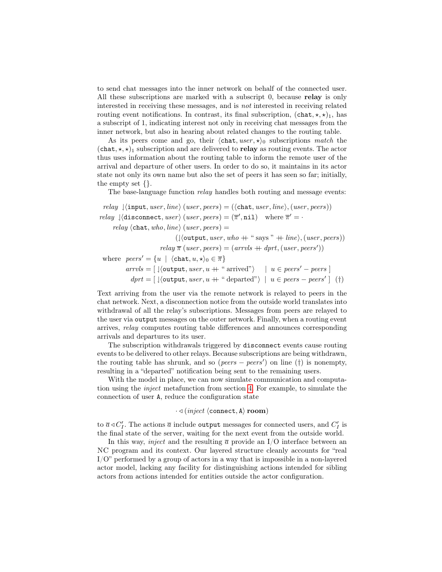to send chat messages into the inner network on behalf of the connected user. All these subscriptions are marked with a subscript 0, because relay is only interested in receiving these messages, and is not interested in receiving related routing event notifications. In contrast, its final subscription,  $(\text{chat}, \star, \star)_1$ , has a subscript of 1, indicating interest not only in receiving chat messages from the inner network, but also in hearing about related changes to the routing table.

As its peers come and go, their  $\langle \text{chat}, \text{user}, \star \rangle_0$  subscriptions match the  $(\text{chat}, \star, \star)$ <sub>1</sub> subscription and are delivered to relay as routing events. The actor thus uses information about the routing table to inform the remote user of the arrival and departure of other users. In order to do so, it maintains in its actor state not only its own name but also the set of peers it has seen so far; initially, the empty set {}.

The base-language function relay handles both routing and message events:

relay  $\langle$  input, user, line $\rangle$  (user, peers) = ( $\langle$ chat, user, line $\rangle$ , (user, peers))  $relay \sqrt{\text{disconnect}}, user \rangle (user, peers) = (\overline{\pi}', \texttt{nil}) \text{ where } \overline{\pi}' = \overline{\pi}'$ relay  $\langle$  chat, who, line $\rangle$  (user, peers) =

 $(|\langle \text{output}, \text{user}, \text{who} + \text{`` says''} + \text{line}\rangle, (\text{user}, \text{peers}))$ 

 $relay \overline{\pi} (user, peers) = (arrvls + dprt, (user, peers'))$ 

where  $\text{pers}' = \{u \mid \langle \texttt{chat}, u, \star \rangle_0 \in \overline{\pi}\}\$  $arrvls = [\sqrt{\text{output}, user, u + "arrived"} \mid u \in peers' - peers]$  $dprt = [\sqrt{\text{output}, user, u + \text{``departed''}} \mid u \in peers - peers']$  (†)

Text arriving from the user via the remote network is relayed to peers in the chat network. Next, a disconnection notice from the outside world translates into withdrawal of all the relay's subscriptions. Messages from peers are relayed to the user via output messages on the outer network. Finally, when a routing event arrives, relay computes routing table differences and announces corresponding arrivals and departures to its user.

The subscription withd[ra](#page-4-0)wals triggered by disconnect events cause routing events to be delivered to other relays. Because subscriptions are being withdrawn, the routing table has shrunk, and so (peers – peers') on line (†) is nonempty, resulting in a "departed" notification being sent to the remaining users.

With the model in place, we can now simulate communication and computation using the inject metafunction from section 4. For example, to simulate the connection of user A, reduce the configuration state

#### $\cdot \triangleleft (inject \langle \texttt{connect}, A \rangle \textbf{room})$

to  $\overline{a} \triangleleft C_I'$ . The actions  $\overline{a}$  include output messages for connected users, and  $C_I'$  is the final state of the server, waiting for the next event from the outside world.

In this way, *inject* and the resulting  $\bar{a}$  provide an I/O interface between an NC program and its context. Our layered structure cleanly accounts for "real I/O" performed by a group of actors in a way that is impossible in a non-layered actor model, lacking any facility for distinguishing actions intended for sibling actors from actions intended for entities outside the actor configuration.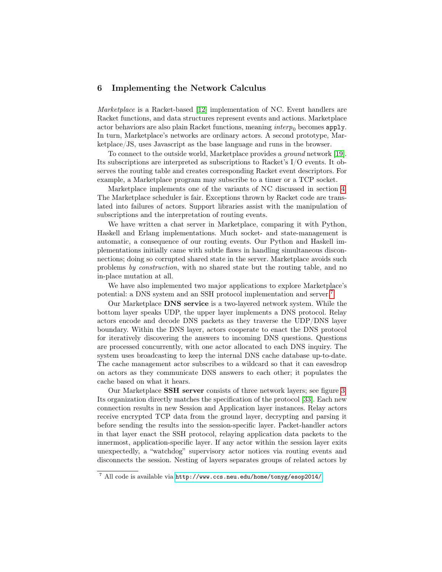### 6 Implementing the Network Calculus

Marketplace is a Racket-based [12] implementation of [NC](#page-19-9). Event handlers are Racket functions, and data structures represent events and actions. Marketplace actor behaviors are also plain Racket functions, meaning  $\text{interp}_0$  becomes apply. In turn, Marketplace's networks are ordinary actors. A second prototype, Marketplace/JS, uses Javascript as the base language and r[un](#page-4-0)s in the browser.

To connect to the outside world, Marketplace provides a ground network [19]. Its subscriptions are interpreted as subscriptions to Racket's I/O events. It observes the routing table and creates corresponding Racket event descriptors. For example, a Marketplace program may subscribe to a timer or a TCP socket.

Marketplace implements one of the variants of NC discussed in section 4. The Marketplace scheduler is fair. Exceptions thrown by Racket code are translated into failures of actors. Support libraries assist with the manipulation of subscriptions and the interpretation of routing events.

We have written a chat server in Marketplace, comparing it with Python, Haskell and Erlang implementations. Much socket- and state-management is automatic, a consequence of our routing events. Our Python and Haskell implementations initially came with subtle flaws in ha[ndl](#page-13-0)ing simultaneous disconnections; doing so corrupted shared state in the server. Marketplace avoids such problems by construction, with no shared state but the routing table, and no in-place mutation at all.

We have also implemented two major applications to explore Marketplace's potential: a DNS system and an SSH protocol implementation and server.<sup>7</sup>

Our Marketplace DNS service is a two-layered network system. While the bottom layer speaks UDP, the upper layer implements a DNS protocol. Relay actors encode and decode DNS packets as they traverse the UDP/DNS layer boundary. Within the DNS layer, actors cooperate to enact the DNS protocol for iteratively discovering the answers to incoming DNS questions. Questions are processed concurrently, with one actor allocated to [ea](#page-14-0)ch DNS inquiry. The system uses broadcasting to keep the intern[al D](#page-19-10)NS cache database up-to-date. The cache management actor subscribes to a wildcard so that it can eavesdrop on actors as they communicate DNS answers to each other; it populates the cache based on what it hears.

<span id="page-13-0"></span>Our Marketplace SSH server consists of three network layers; see figure 3. Its organization directly matches the specification of the protocol [33]. Each new connection results in new Session and Application layer instances. Relay actors receive encrypted TCP data from the ground layer, decrypting and parsing it before sending the results into the session-specific layer. Packet-handler actors in [that layer enact the SSH protocol, relaying app](http://www.ccs.neu.edu/home/tonyg/esop2014/)lication data packets to the innermost, application-specific layer. If any actor within the session layer exits unexpectedly, a "watchdog" supervisory actor notices via routing events and disconnects the session. Nesting of layers separates groups of related actors by

 $^7$  All code is available via  ${\tt http://www.ccs.neu.edu/home/tonyg/esop2014/.}$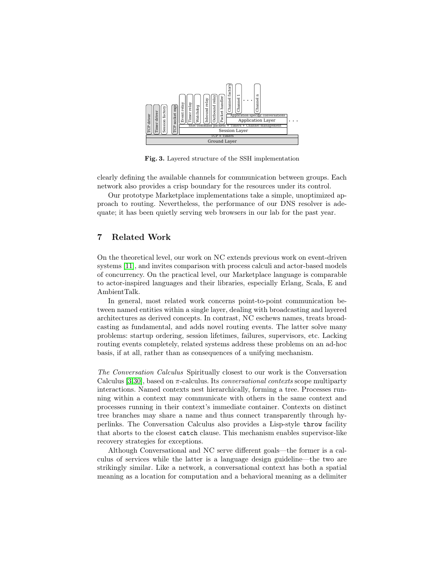<span id="page-14-0"></span>

Fig. 3. Layered structure of the SSH implementation

clearly defining the available channels for communication between groups. Each network also provides a crisp boundary for the resources under its control.

Our prototype Marketplace implementations take a simple, unoptimized approach to routing. Nevertheless, the performance of our DNS resolver is adequate; it has been quietly serving web browsers in our lab for the past year.

### 7 Related Work

On the theoretical level, our work on NC extends previous work on event-driven systems [11], and invites comparison with process calculi and actor-based models of concurrency. On the practical level, our Marketplace language is comparable to actor-inspired languages and their libraries, especially Erlang, Scala, E and AmbientTalk.

In general, most related work concerns point-to-point communication between named entities within a single layer, dealing with broadcasting and layered architectures as derived concepts. In contrast, NC eschews names, treats broadcasting as fundamental, and adds novel routing events. The latter solve many problems: startup ordering, session lifetimes, failures, supervisors, etc. Lacking routing events completely, related systems address these problems on an ad-hoc basis, if at all, rather than as consequences of a unifying mechanism.

The Conversation Calculus Spiritually closest to our work is the Conversation Calculus [3,30], based on  $\pi$ -calculus. Its *conversational contexts* scope multiparty interactions. Named contexts nest hierarchically, forming a tree. Processes running within a context may communicate with others in the same context and processes running in their context's immediate container. Contexts on distinct tree branches may share a name and thus connect transparently through hyperlinks. The Conversation Calculus also provides a Lisp-style throw facility that aborts to the closest catch clause. This mechanism enables supervisor-like recovery strategies for exceptions.

Although Conversational and NC serve different goals—the former is a calculus of services while the latter is a language design guideline—the two are strikingly similar. Like a network, a conversational context has both a spatial meaning as a location for computation and a behavioral meaning as a delimiter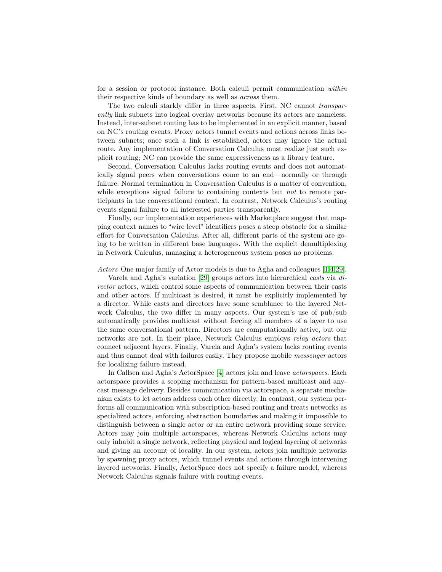for a session or protocol instance. Both calculi permit communication within their respective kinds of boundary as well as across them.

The two calculi starkly differ in three aspects. First, NC cannot transparently link subnets into logical overlay networks because its actors are nameless. Instead, inter-subnet routing has to be implemented in an explicit manner, based on NC's routing events. Proxy actors tunnel events and actions across links between subnets; once such a link is established, actors may ignore the actual route. Any implementation of Conversation Calculus must realize just such explicit routing; NC can provide the same expressiveness as a library feature.

Second, Conversation Calculus lacks routing events and does not automatically signal peers when conversations come to an end—normally or through failure. Normal termination in Conversation Calculus is a matter of convention, while exceptions signal failure to containing contexts but *not* to remote participants in the conversational context. In contrast, Network Calculus's routing events signal failure to all interested parties transparently.

Finally, our implementation experiences with Marketplace suggest that mapping context names to "wire level" identifiers poses [a](#page-18-6) [st](#page-18-7)[eep](#page-19-11) obstacle for a similar effort for C[onv](#page-19-11)ersation Calculus. After all, different parts of the system are going to be written in different base languages. With the explicit demultiplexing in Network Calculus, managing a heterogeneous system poses no problems.

#### Actors One major family of Actor models is due to Agha and colleagues [1,4,29].

Varela and Agha's variation [29] groups actors into hierarchical casts via director actors, which control some aspects of communication between their casts and other actors. If multicast is desired, it must be explicitly implemented by a director. While casts and directors have some semblance to the layered Network Calculus, the two differ in many aspects. Our system's use of pub/sub automatically provides multicast without forcing all members of a layer to use the same convers[at](#page-18-7)ional pattern. Directors are computationally active, but our networks are not. In their place, Network Calculus employs relay actors that connect adjacent layers. Finally, Varela and Agha's system lacks routing events and thus cannot deal with failures easily. They propose mobile messenger actors for localizing failure instead.

In Callsen and Agha's ActorSpace [4] actors join and leave actorspaces. Each actorspace provides a scoping mechanism for pattern-based multicast and anycast message delivery. Besides communication via actorspace, a separate mechanism exists to let actors address each other directly. In contrast, our system performs all communication with subscription-based routing and treats networks as specialized actors, enforcing abstraction boundaries and making it impossible to distinguish between a single actor or an entire network providing some service. Actors may join multiple actorspaces, whereas Network Calculus actors may only inhabit a single network, reflecting physical and logical layering of networks and giving an account of locality. In our system, actors join multiple networks by spawning proxy actors, which tunnel events and actions through intervening layered networks. Finally, ActorSpace does not specify a failure model, whereas Network Calculus signals failure with routing events.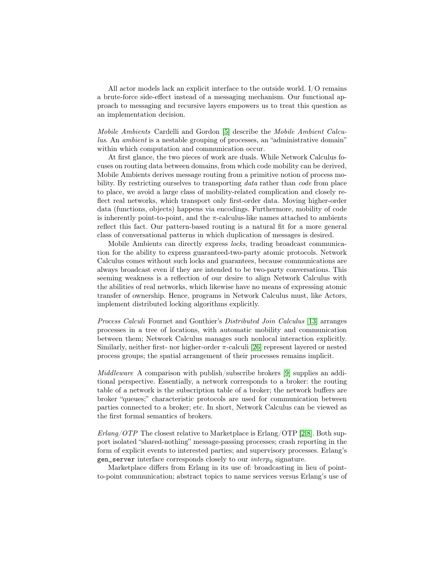All actor model[s l](#page-18-8)ack an explicit interface to the outside world. I/O remains a brute-force side-effect instead of a messaging mechanism. Our functional approach to messaging and recursive layers empowers us to treat this question as an implementation decision.

Mobile Ambients Cardelli and Gordon [5] describe the Mobile Ambient Calculus. An ambient is a nestable grouping of processes, an "administrative domain" within which computation and communication occur.

At first glance, the two pieces of work are duals. While Network Calculus focuses on routing data between domains, from which code mobility can be derived, Mobile Ambients derives message routing from a primitive notion of process mobility. By restricting ourselves to transporting *data* rather than *code* from place to place, we avoid a large class of mobility-related complication and closely reflect real networks, which transport only first-order data. Moving higher-order data (functions, objects) happens via encodings. Furthermore, mobility of code is inherently point-to-point, and the  $\pi$ -calculus-like names attached to ambients reflect this fact. Our pattern-based routing is a natural fit for a more general class of conversational patterns in which duplication of messages is desired.

Mobile Ambients can directly express locks, trading broadcast communication for the ability to express guaranteed-two-party atomic protocols. Network Calculus comes without such locks and guarantees, because communications are always broadcast even if they are intended to be two-party conversations. This seeming weakness is a reflection of our desir[e to](#page-18-9) align Network Calculus with the abilities of real networks, which likewise have no means of expressing atomic transfer of ownership. Hence, programs in Network Calculus must, like Actors, implement distributed locki[ng a](#page-19-12)lgorithms explicitly.

Process Calculi Fournet and Gonthier's Distributed Join Calculus [13] arranges processes in a tree of locations, with [a](#page-18-2)utomatic mobility and communication between them; Network Calculus manages such nonlocal interaction explicitly. Similarly, neither first- nor higher-order  $\pi$ -calculi [26] represent layered or nested process groups; the spatial arrangement of their processes remains implicit.

Middleware A comparison with publish/subscribe brokers [9] supplies an additional perspective. Essentially, a network corresponds to a broker: the routing table of a network is the subscription table [o](#page-18-10)[f a](#page-18-0) broker; the network buffers are broker "queues;" characteristic protocols are used for communication between parties connected to a broker; etc. In short, Network Calculus can be viewed as the first formal semantics of brokers.

 $Erlang/OTP$  The closest relative to Marketplace is  $Erlang/OTP$  [2,8]. Both support isolated "shared-nothing" message-passing processes; crash reporting in the form of explicit events to interested parties; and supervisory processes. Erlang's gen\_server interface corresponds closely to our  $\mathit{interp}_0$  signature.

Marketplace differs from Erlang in its use of: broadcasting in lieu of pointto-point communication; abstract topics to name services versus Erlang's use of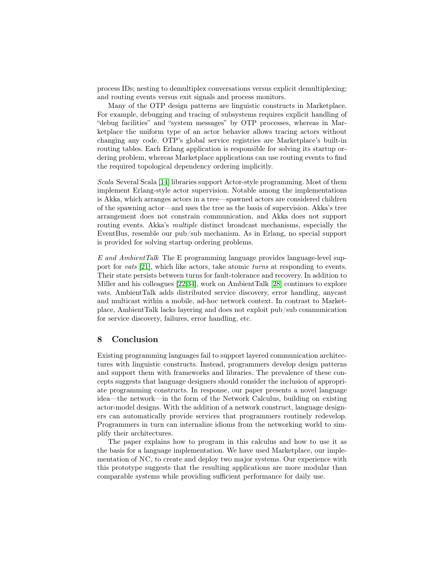process IDs; nesting to demultiplex conversations versus explicit demultiplexing; and routing events versus exit signals and process monitors.

Many of the OTP design patterns are linguistic constructs in Marketplace. For example, debugging and tracing of subsystems requires explicit handling of "debug facilities" and "system messages" by OTP processes, whereas in Mar[ke](#page-18-1)tplace the uniform type of an actor behavior allows tracing actors without changing any code. OTP's global service registries are Marketplace's built-in routing tables. Each Erlang application is responsible for solving its startup ordering problem, whereas Marketplace applications can use routing events to find the required topological dependency ordering implicitly.

Scala Several Scala [14] libraries support Actor-style programming. Most of them implement Erlang-style actor supervision. Notable among the implementations is Akka, which arranges actors in a tree—spawned actors are considered children of the spawning actor—and uses the tree as the basis of supervision. Akka's tree arrangement does not constrain communication, and Akka does not support routing events. Akka's multiple distinct broadcast mechanisms, especially the Eve[ntB](#page-19-13)[us,](#page-19-14) resemble our pub/sub [mec](#page-19-15)hanism. As in Erlang, no special support is provided for solving startup ordering problems.

 $E$  and  $AmbientTalk$  The E programming language provides language-level support for vats [21], which like actors, take atomic turns at responding to events. Their state persists between turns for fault-tolerance and recovery. In addition to Miller and his colleagues [22,34], work on AmbientTalk [28] continues to explore vats. AmbientTalk adds distributed service discovery, error handling, anycast and multicast within a mobile, ad-hoc network context. In contrast to Marketplace, AmbientTalk lacks layering and does not exploit pub/sub communication for service discovery, failures, error handling, etc.

### 8 Conclusion

Existing programming languages fail to support layered communication architectures with linguistic constructs. Instead, programmers develop design patterns and support them with frameworks and libraries. The prevalence of these concepts suggests that language designers should consider the inclusion of appropriate programming constructs. In response, our paper presents a novel language idea—the network—in the form of the Network Calculus, building on existing actor-model designs. With the addition of a network construct, language designers can automatically provide services that programmers routinely redevelop. Programmers in turn can internalize idioms from the networking world to simplify their architectures.

The paper explains how to program in this calculus and how to use it as the basis for a language implementation. We have used Marketplace, our implementation of NC, to create and deploy two major systems. Our experience with this prototype suggests that the resulting applications are more modular than comparable systems while providing sufficient performance for daily use.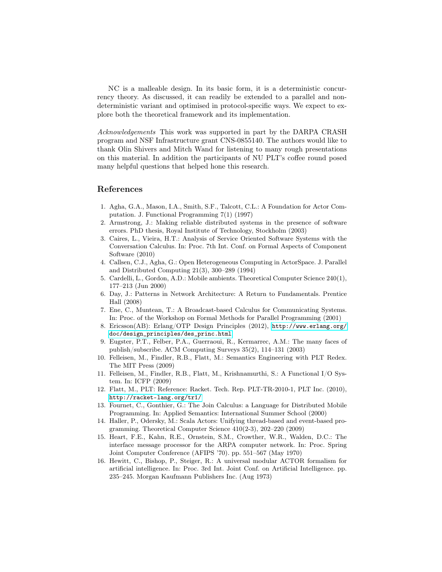NC is a malleable design. In its basic form, it is a deterministic concurrency theory. As discussed, it can readily be extended to a parallel and nondeterministic variant and optimised in protocol-specific ways. We expect to explore both the theoretical framework and its implementation.

<span id="page-18-6"></span>Acknowledgements This work was supported in part by the DARPA CRASH program and NSF Infrastructure grant CNS-0855140. The authors would like to thank Olin Shivers and Mitch Wand for listening to many rough presentations on this material. In addition the participants of NU PLT's coffee round posed many helpful questions that helped hone this research.

### <span id="page-18-10"></span>References

- 1. Agha, G.A., Mason, I.A., Smith, S.F., Talcott, C.L.: A Foundation for Actor Computation. J. Functional Programming 7(1) (1997)
- <span id="page-18-8"></span><span id="page-18-7"></span>2. Armstrong, J.: Making reliable distributed systems in the presence of software errors. PhD thesis, Royal Institute of Technology, Stockholm (2003)
- <span id="page-18-3"></span>3. Caires, L., Vieira, H.T.: Analysis of Service Oriented Software Systems with the Conversation Calculus. In: Proc. 7th Int. Conf. on Formal Aspects of Component Software (2010)
- 4. Callsen, C.J., Agha, G.: Open Heterogeneous Computing in ActorSpace. J. Parallel and Distributed Computing 21(3), 300–289 (1994)
- <span id="page-18-0"></span>5. Cardelli, L., Gordon, A.D.: Mobil[e ambients. Theoretical Com](http://www.erlang.org/doc/design_principles/des_princ.html)puter Science 240(1), [177–213 \(Jun 2000\)](http://www.erlang.org/doc/design_principles/des_princ.html)
- <span id="page-18-2"></span>6. Day, J.: Patterns in Network Architecture: A Return to Fundamentals. Prentice Hall (2008)
- <span id="page-18-5"></span>7. Ene, C., Muntean, T.: A Broadcast-based Calculus for Communicating Systems. In: Proc. of the Workshop on Formal Methods for Parallel Programming (2001)
- 8. Ericsson(AB): Erlang/OTP Design Principles (2012), http://www.erlang.org/ doc/design\_principles/des\_princ.html
- 9. Eugster, P.T., Felber, P.A., Guerraoui, R., Kermarrec, A.M.: The many faces of [publish/s](http://racket-lang.org/tr1/)ubscribe. ACM Computing Surveys 35(2), 114–131 (2003)
- <span id="page-18-9"></span>10. Felleisen, M., Findler, R.B., Flatt, M.: Semantics Engineering with PLT Redex. The MIT Press (2009)
- <span id="page-18-1"></span>11. Felleisen, M., Findler, R.B., Flatt, M., Krishnamurthi, S.: A Functional I/O System. In: ICFP (2009)
- <span id="page-18-4"></span>12. Flatt, M., PLT: Reference: Racket. Tech. Rep. PLT-TR-2010-1, PLT Inc. (2010), http://racket-lang.org/tr1/
- 13. Fournet, C., Gonthier, G.: The Join Calculus: a Language for Distributed Mobile Programming. In: Applied Semantics: International Summer School (2000)
- 14. Haller, P., Odersky, M.: Scala Actors: Unifying thread-based and event-based programming. Theoretical Computer Science 410(2-3), 202–220 (2009)
- 15. Heart, F.E., Kahn, R.E., Ornstein, S.M., Crowther, W.R., Walden, D.C.: The interface message processor for the ARPA computer network. In: Proc. Spring Joint Computer Conference (AFIPS '70). pp. 551–567 (May 1970)
- 16. Hewitt, C., Bishop, P., Steiger, R.: A universal modular ACTOR formalism for artificial intelligence. In: Proc. 3rd Int. Joint Conf. on Artificial Intelligence. pp. 235–245. Morgan Kaufmann Publishers Inc. (Aug 1973)